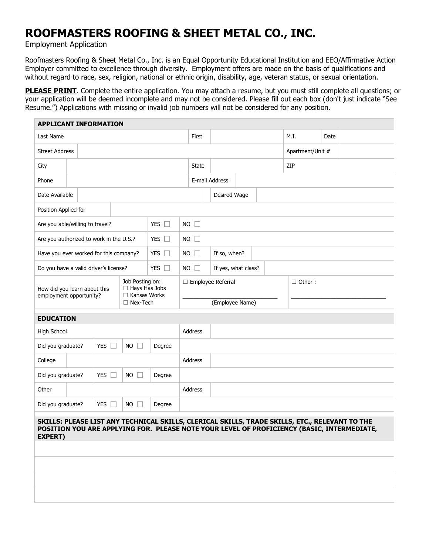## **ROOFMASTERS ROOFING & SHEET METAL CO., INC.**

Employment Application

Roofmasters Roofing & Sheet Metal Co., Inc. is an Equal Opportunity Educational Institution and EEO/Affirmative Action Employer committed to excellence through diversity. Employment offers are made on the basis of qualifications and without regard to race, sex, religion, national or ethnic origin, disability, age, veteran status, or sexual orientation.

**PLEASE PRINT**. Complete the entire application. You may attach a resume, but you must still complete all questions; or your application will be deemed incomplete and may not be considered. Please fill out each box (don't just indicate "See Resume.") Applications with missing or invalid job numbers will not be considered for any position.

| <b>APPLICANT INFORMATION</b>                                                                                    |  |            |                 |               |                                    |                             |                |      |      |                                                                                                                                                                                              |                  |  |  |
|-----------------------------------------------------------------------------------------------------------------|--|------------|-----------------|---------------|------------------------------------|-----------------------------|----------------|------|------|----------------------------------------------------------------------------------------------------------------------------------------------------------------------------------------------|------------------|--|--|
| Last Name                                                                                                       |  |            |                 |               |                                    | First                       |                | M.I. | Date |                                                                                                                                                                                              |                  |  |  |
| <b>Street Address</b>                                                                                           |  |            |                 |               |                                    |                             |                |      |      |                                                                                                                                                                                              | Apartment/Unit # |  |  |
| City                                                                                                            |  |            |                 |               | State                              |                             |                |      |      | ZIP                                                                                                                                                                                          |                  |  |  |
| Phone                                                                                                           |  |            |                 |               |                                    |                             | E-mail Address |      |      |                                                                                                                                                                                              |                  |  |  |
| Date Available                                                                                                  |  |            |                 | Desired Wage  |                                    |                             |                |      |      |                                                                                                                                                                                              |                  |  |  |
| Position Applied for                                                                                            |  |            |                 |               |                                    |                             |                |      |      |                                                                                                                                                                                              |                  |  |  |
| Are you able/willing to travel?                                                                                 |  |            | YES $\square$   | $NO$ $\Box$   |                                    |                             |                |      |      |                                                                                                                                                                                              |                  |  |  |
| Are you authorized to work in the U.S.?                                                                         |  |            |                 | YES $\square$ | $NO$ $\Box$                        |                             |                |      |      |                                                                                                                                                                                              |                  |  |  |
| Have you ever worked for this company?                                                                          |  |            |                 | YES $\square$ |                                    | $NO$ $\Box$<br>If so, when? |                |      |      |                                                                                                                                                                                              |                  |  |  |
| Do you have a valid driver's license?                                                                           |  |            |                 | YES $\square$ | $NO$ $\Box$<br>If yes, what class? |                             |                |      |      |                                                                                                                                                                                              |                  |  |  |
| Job Posting on:<br>□ Hays Has Jobs<br>How did you learn about this<br>□ Kansas Works<br>employment opportunity? |  |            |                 |               | □ Employee Referral                |                             |                |      |      | $\Box$ Other :                                                                                                                                                                               |                  |  |  |
|                                                                                                                 |  |            | $\Box$ Nex-Tech |               | (Employee Name)                    |                             |                |      |      |                                                                                                                                                                                              |                  |  |  |
| <b>EDUCATION</b>                                                                                                |  |            |                 |               |                                    |                             |                |      |      |                                                                                                                                                                                              |                  |  |  |
| High School                                                                                                     |  |            |                 |               | Address                            |                             |                |      |      |                                                                                                                                                                                              |                  |  |  |
| Did you graduate?                                                                                               |  | YES $\Box$ | $NO$ $\Box$     | Degree        |                                    |                             |                |      |      |                                                                                                                                                                                              |                  |  |  |
| College                                                                                                         |  |            |                 |               | Address                            |                             |                |      |      |                                                                                                                                                                                              |                  |  |  |
| Did you graduate?                                                                                               |  | YES $\Box$ | $NO$ $\Box$     | Degree        |                                    |                             |                |      |      |                                                                                                                                                                                              |                  |  |  |
| Other                                                                                                           |  |            |                 |               | Address                            |                             |                |      |      |                                                                                                                                                                                              |                  |  |  |
| Did you graduate?                                                                                               |  | YES $\Box$ | $NO$ $\Box$     | Degree        |                                    |                             |                |      |      |                                                                                                                                                                                              |                  |  |  |
| <b>EXPERT)</b>                                                                                                  |  |            |                 |               |                                    |                             |                |      |      | SKILLS: PLEASE LIST ANY TECHNICAL SKILLS, CLERICAL SKILLS, TRADE SKILLS, ETC., RELEVANT TO THE<br>POSITION YOU ARE APPLYING FOR. PLEASE NOTE YOUR LEVEL OF PROFICIENCY (BASIC, INTERMEDIATE, |                  |  |  |
|                                                                                                                 |  |            |                 |               |                                    |                             |                |      |      |                                                                                                                                                                                              |                  |  |  |
|                                                                                                                 |  |            |                 |               |                                    |                             |                |      |      |                                                                                                                                                                                              |                  |  |  |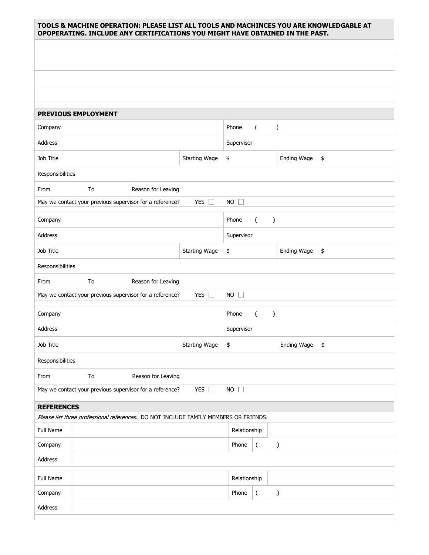| TOOLS & MACHINE OPERATION: PLEASE LIST ALL TOOLS AND MACHINCES YOU ARE KNOWLEDGABLE AT<br>OPOPERATING. INCLUDE ANY CERTIFICATIONS YOU MIGHT HAVE OBTAINED IN THE PAST. |                                                     |  |  |  |  |  |  |  |  |
|------------------------------------------------------------------------------------------------------------------------------------------------------------------------|-----------------------------------------------------|--|--|--|--|--|--|--|--|
|                                                                                                                                                                        |                                                     |  |  |  |  |  |  |  |  |
|                                                                                                                                                                        |                                                     |  |  |  |  |  |  |  |  |
|                                                                                                                                                                        |                                                     |  |  |  |  |  |  |  |  |
|                                                                                                                                                                        |                                                     |  |  |  |  |  |  |  |  |
|                                                                                                                                                                        |                                                     |  |  |  |  |  |  |  |  |
| <b>PREVIOUS EMPLOYMENT</b>                                                                                                                                             |                                                     |  |  |  |  |  |  |  |  |
| Company                                                                                                                                                                | Phone<br>$\overline{(\ }$<br>$\mathcal{C}^{\prime}$ |  |  |  |  |  |  |  |  |
| Address                                                                                                                                                                | Supervisor                                          |  |  |  |  |  |  |  |  |
| Job Title<br><b>Starting Wage</b>                                                                                                                                      | Ending Wage<br>\$<br>\$                             |  |  |  |  |  |  |  |  |
| Responsibilities                                                                                                                                                       |                                                     |  |  |  |  |  |  |  |  |
| Reason for Leaving<br>From<br>To                                                                                                                                       |                                                     |  |  |  |  |  |  |  |  |
| YES $\square$<br>May we contact your previous supervisor for a reference?                                                                                              | $NO$ $\Box$                                         |  |  |  |  |  |  |  |  |
| Company                                                                                                                                                                | Phone<br>$\left($<br>$\lambda$                      |  |  |  |  |  |  |  |  |
| Address                                                                                                                                                                | Supervisor                                          |  |  |  |  |  |  |  |  |
| Job Title<br><b>Starting Wage</b>                                                                                                                                      | Ending Wage<br>\$<br>\$                             |  |  |  |  |  |  |  |  |
| Responsibilities                                                                                                                                                       |                                                     |  |  |  |  |  |  |  |  |
| From<br>To<br>Reason for Leaving                                                                                                                                       |                                                     |  |  |  |  |  |  |  |  |
| YES $\square$<br>May we contact your previous supervisor for a reference?                                                                                              | $NO$ $\Box$                                         |  |  |  |  |  |  |  |  |
| Company                                                                                                                                                                | Phone<br>$\left($<br>$\mathcal{E}$                  |  |  |  |  |  |  |  |  |
| Address                                                                                                                                                                | Supervisor                                          |  |  |  |  |  |  |  |  |
| Job Title<br><b>Starting Wage</b>                                                                                                                                      | Ending Wage<br>$\frac{1}{2}$<br>\$                  |  |  |  |  |  |  |  |  |
| Responsibilities                                                                                                                                                       |                                                     |  |  |  |  |  |  |  |  |
| To<br>Reason for Leaving<br>From                                                                                                                                       |                                                     |  |  |  |  |  |  |  |  |
| YES $\square$<br>May we contact your previous supervisor for a reference?                                                                                              | $NO$ $\Box$                                         |  |  |  |  |  |  |  |  |
| <b>REFERENCES</b>                                                                                                                                                      |                                                     |  |  |  |  |  |  |  |  |
| Please list three professional references. DO NOT INCLUDE FAMILY MEMBERS OR FRIENDS.                                                                                   |                                                     |  |  |  |  |  |  |  |  |
| <b>Full Name</b>                                                                                                                                                       | Relationship                                        |  |  |  |  |  |  |  |  |
| Company                                                                                                                                                                | $\overline{(\ }$<br>Phone<br>$\mathcal{C}$          |  |  |  |  |  |  |  |  |
| Address                                                                                                                                                                |                                                     |  |  |  |  |  |  |  |  |
| Full Name                                                                                                                                                              | Relationship                                        |  |  |  |  |  |  |  |  |
| Company                                                                                                                                                                | $\overline{(\ }$<br>Phone<br>$\mathcal{C}$          |  |  |  |  |  |  |  |  |
| Address                                                                                                                                                                |                                                     |  |  |  |  |  |  |  |  |
|                                                                                                                                                                        |                                                     |  |  |  |  |  |  |  |  |